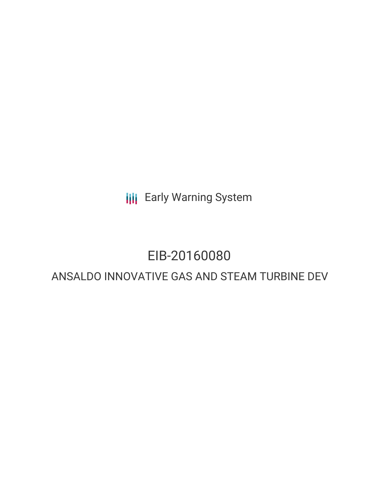**III** Early Warning System

# EIB-20160080

## ANSALDO INNOVATIVE GAS AND STEAM TURBINE DEV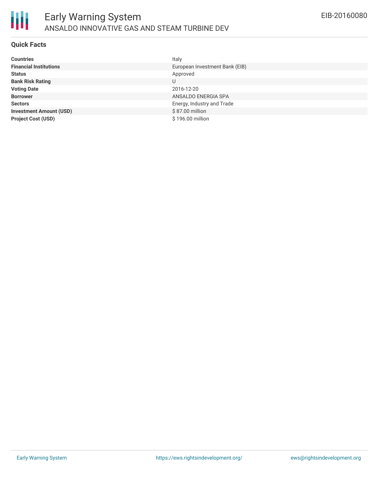

#### **Quick Facts**

| <b>Countries</b>               | Italy                          |
|--------------------------------|--------------------------------|
| <b>Financial Institutions</b>  | European Investment Bank (EIB) |
| <b>Status</b>                  | Approved                       |
| <b>Bank Risk Rating</b>        | U                              |
| <b>Voting Date</b>             | 2016-12-20                     |
| <b>Borrower</b>                | ANSALDO ENERGIA SPA            |
| <b>Sectors</b>                 | Energy, Industry and Trade     |
| <b>Investment Amount (USD)</b> | \$87.00 million                |
| <b>Project Cost (USD)</b>      | \$196,00 million               |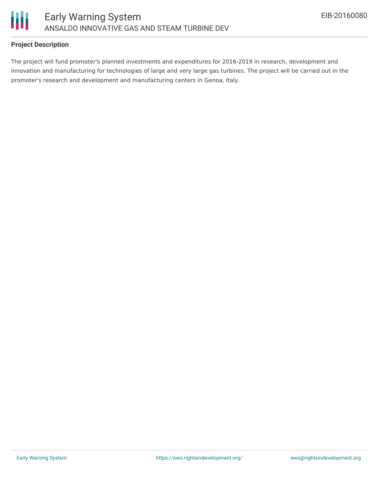

### **Project Description**

The project will fund promoter's planned investments and expenditures for 2016-2019 in research, development and innovation and manufacturing for technologies of large and very large gas turbines. The project will be carried out in the promoter's research and development and manufacturing centers in Genoa, Italy.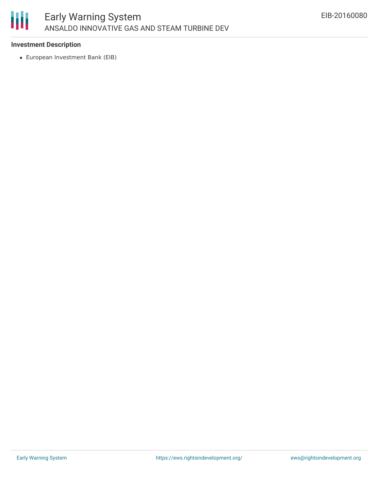

#### **Investment Description**

European Investment Bank (EIB)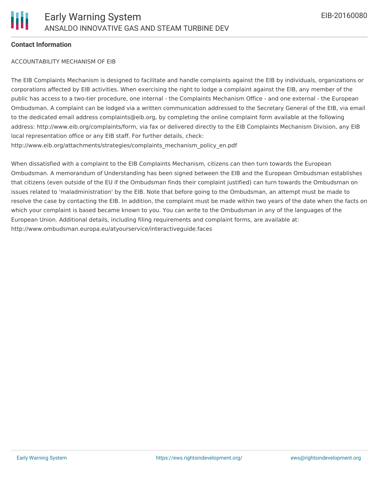

#### **Contact Information**

#### ACCOUNTABILITY MECHANISM OF EIB

The EIB Complaints Mechanism is designed to facilitate and handle complaints against the EIB by individuals, organizations or corporations affected by EIB activities. When exercising the right to lodge a complaint against the EIB, any member of the public has access to a two-tier procedure, one internal - the Complaints Mechanism Office - and one external - the European Ombudsman. A complaint can be lodged via a written communication addressed to the Secretary General of the EIB, via email to the dedicated email address complaints@eib.org, by completing the online complaint form available at the following address: http://www.eib.org/complaints/form, via fax or delivered directly to the EIB Complaints Mechanism Division, any EIB local representation office or any EIB staff. For further details, check: http://www.eib.org/attachments/strategies/complaints\_mechanism\_policy\_en.pdf

When dissatisfied with a complaint to the EIB Complaints Mechanism, citizens can then turn towards the European Ombudsman. A memorandum of Understanding has been signed between the EIB and the European Ombudsman establishes that citizens (even outside of the EU if the Ombudsman finds their complaint justified) can turn towards the Ombudsman on issues related to 'maladministration' by the EIB. Note that before going to the Ombudsman, an attempt must be made to resolve the case by contacting the EIB. In addition, the complaint must be made within two years of the date when the facts on which your complaint is based became known to you. You can write to the Ombudsman in any of the languages of the European Union. Additional details, including filing requirements and complaint forms, are available at: http://www.ombudsman.europa.eu/atyourservice/interactiveguide.faces